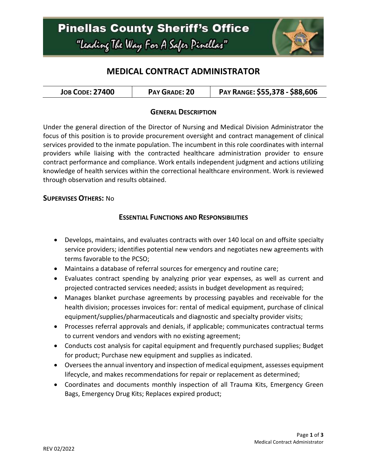

# **MEDICAL CONTRACT ADMINISTRATOR**

| <b>JOB CODE: 27400</b> | PAY GRADE: 20 | PAY RANGE: \$55,378 - \$88,606 |
|------------------------|---------------|--------------------------------|
|------------------------|---------------|--------------------------------|

#### **GENERAL DESCRIPTION**

Under the general direction of the Director of Nursing and Medical Division Administrator the focus of this position is to provide procurement oversight and contract management of clinical services provided to the inmate population. The incumbent in this role coordinates with internal providers while liaising with the contracted healthcare administration provider to ensure contract performance and compliance. Work entails independent judgment and actions utilizing knowledge of health services within the correctional healthcare environment. Work is reviewed through observation and results obtained.

#### **SUPERVISES OTHERS:** No

### **ESSENTIAL FUNCTIONS AND RESPONSIBILITIES**

- Develops, maintains, and evaluates contracts with over 140 local on and offsite specialty service providers; identifies potential new vendors and negotiates new agreements with terms favorable to the PCSO;
- Maintains a database of referral sources for emergency and routine care;
- Evaluates contract spending by analyzing prior year expenses, as well as current and projected contracted services needed; assists in budget development as required;
- Manages blanket purchase agreements by processing payables and receivable for the health division; processes invoices for: rental of medical equipment, purchase of clinical equipment/supplies/pharmaceuticals and diagnostic and specialty provider visits;
- Processes referral approvals and denials, if applicable; communicates contractual terms to current vendors and vendors with no existing agreement;
- Conducts cost analysis for capital equipment and frequently purchased supplies; Budget for product; Purchase new equipment and supplies as indicated.
- Oversees the annual inventory and inspection of medical equipment, assesses equipment lifecycle, and makes recommendations for repair or replacement as determined;
- Coordinates and documents monthly inspection of all Trauma Kits, Emergency Green Bags, Emergency Drug Kits; Replaces expired product;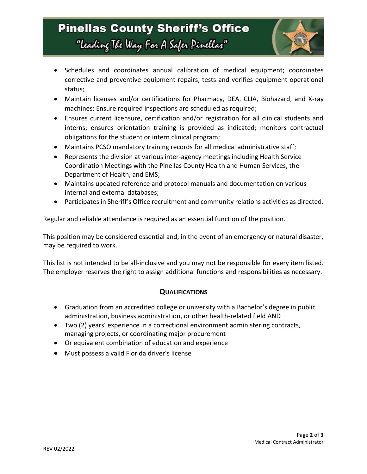

- Schedules and coordinates annual calibration of medical equipment; coordinates corrective and preventive equipment repairs, tests and verifies equipment operational status;
- Maintain licenses and/or certifications for Pharmacy, DEA, CLIA, Biohazard, and X-ray machines; Ensure required inspections are scheduled as required;
- Ensures current licensure, certification and/or registration for all clinical students and interns; ensures orientation training is provided as indicated; monitors contractual obligations for the student or intern clinical program;
- Maintains PCSO mandatory training records for all medical administrative staff;
- Represents the division at various inter-agency meetings including Health Service Coordination Meetings with the Pinellas County Health and Human Services, the Department of Health, and EMS;
- Maintains updated reference and protocol manuals and documentation on various internal and external databases;
- Participates in Sheriff's Office recruitment and community relations activities as directed.

Regular and reliable attendance is required as an essential function of the position.

This position may be considered essential and, in the event of an emergency or natural disaster, may be required to work.

This list is not intended to be all-inclusive and you may not be responsible for every item listed. The employer reserves the right to assign additional functions and responsibilities as necessary.

#### **QUALIFICATIONS**

- Graduation from an accredited college or university with a Bachelor's degree in public administration, business administration, or other health-related field AND
- Two (2) years' experience in a correctional environment administering contracts, managing projects, or coordinating major procurement
- Or equivalent combination of education and experience
- Must possess a valid Florida driver's license